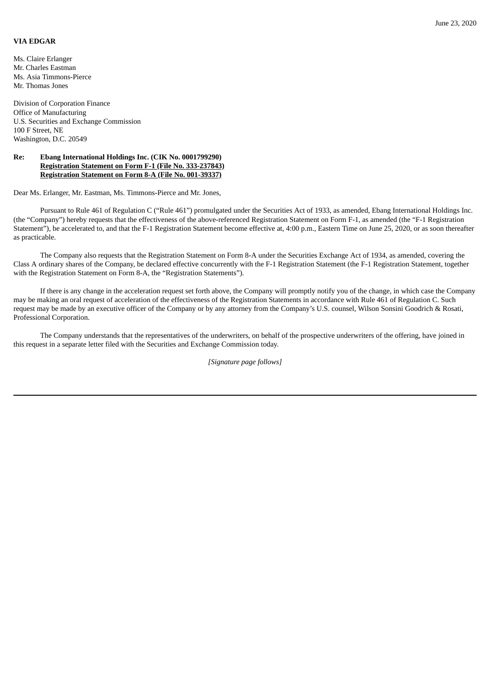## **VIA EDGAR**

Ms. Claire Erlanger Mr. Charles Eastman Ms. Asia Timmons-Pierce Mr. Thomas Jones

Division of Corporation Finance Office of Manufacturing U.S. Securities and Exchange Commission 100 F Street, NE Washington, D.C. 20549

## **Re: Ebang International Holdings Inc. (CIK No. 0001799290) Registration Statement on Form F-1 (File No. 333-237843) Registration Statement on Form 8-A (File No. 001-39337)**

Dear Ms. Erlanger, Mr. Eastman, Ms. Timmons-Pierce and Mr. Jones,

Pursuant to Rule 461 of Regulation C ("Rule 461") promulgated under the Securities Act of 1933, as amended, Ebang International Holdings Inc. (the "Company") hereby requests that the effectiveness of the above-referenced Registration Statement on Form F-1, as amended (the "F-1 Registration Statement"), be accelerated to, and that the F-1 Registration Statement become effective at, 4:00 p.m., Eastern Time on June 25, 2020, or as soon thereafter as practicable.

The Company also requests that the Registration Statement on Form 8-A under the Securities Exchange Act of 1934, as amended, covering the Class A ordinary shares of the Company, be declared effective concurrently with the F-1 Registration Statement (the F-1 Registration Statement, together with the Registration Statement on Form 8-A, the "Registration Statements").

If there is any change in the acceleration request set forth above, the Company will promptly notify you of the change, in which case the Company may be making an oral request of acceleration of the effectiveness of the Registration Statements in accordance with Rule 461 of Regulation C. Such request may be made by an executive officer of the Company or by any attorney from the Company's U.S. counsel, Wilson Sonsini Goodrich & Rosati, Professional Corporation.

The Company understands that the representatives of the underwriters, on behalf of the prospective underwriters of the offering, have joined in this request in a separate letter filed with the Securities and Exchange Commission today.

*[Signature page follows]*